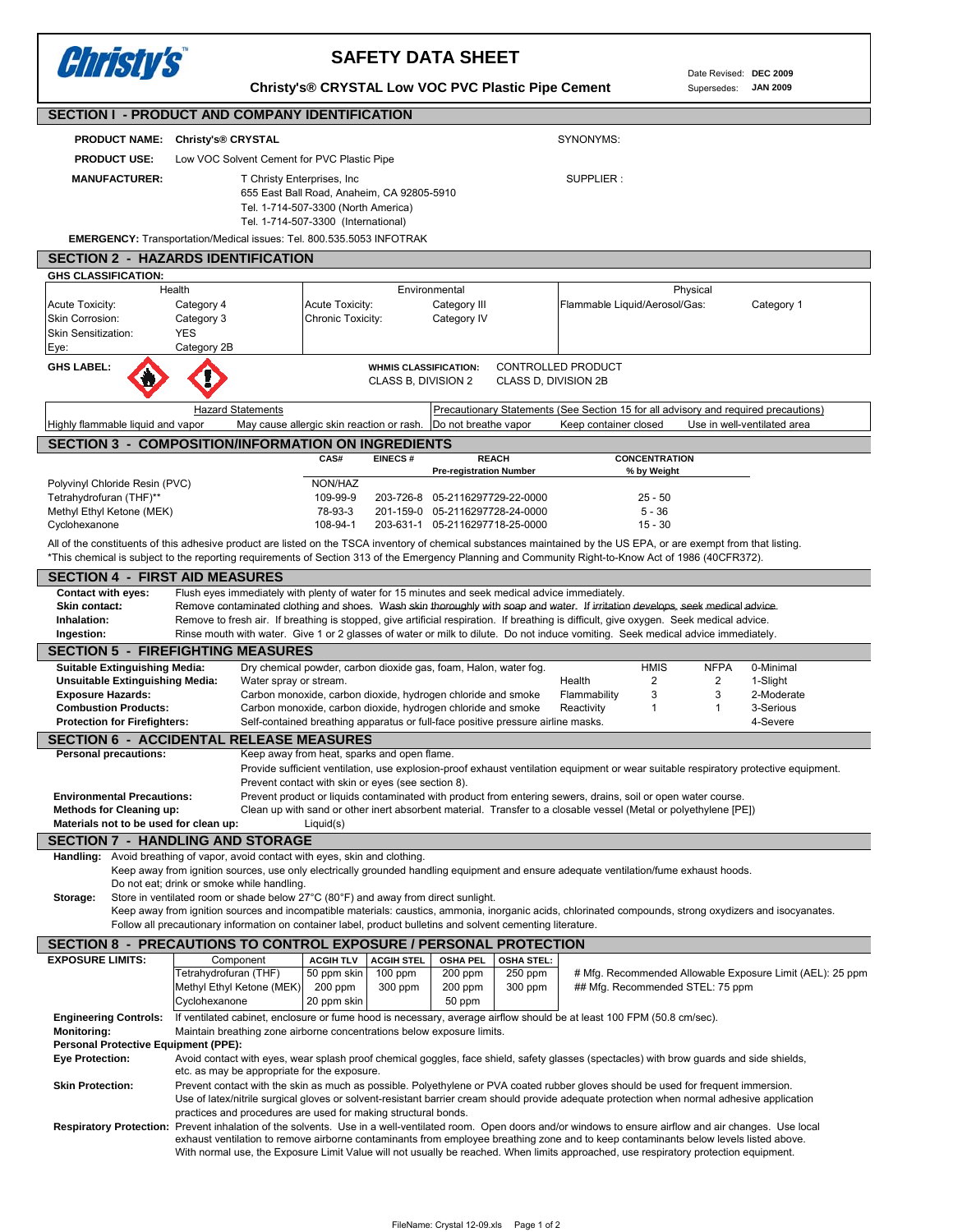Date Revised: **DEC 2009** Supersedes: **JAN 2009**

## *Christy's*  **SAFETY DATA SHEET Christy's® CRYSTAL Low VOC PVC Plastic Pipe Cement SECTION I - PRODUCT AND COMPANY IDENTIFICATION PRODUCT NAME: Christy's® CRYSTAL** SYNONYMS:  **PRODUCT USE:** Low VOC Solvent Cement for PVC Plastic Pipe **MANUFACTURER:** T Christy Enterprises, Inc **SUPPLIER** : SUPPLIER : 655 East Ball Road, Anaheim, CA 92805-5910 Tel. 1-714-507-3300 (North America) Tel. 1-714-507-3300 (International) **EMERGENCY:** Transportation/Medical issues: Tel. 800.535.5053 INFOTRAK **SECTION 2 - HAZARDS IDENTIFICATION GHS CLASSIFICATION:** Health Environmental **Physical** Acute Toxicity: Category 4 Acute Toxicity: Category III Flammable Liquid/Aerosol/Gas: Category 1 Skin Corrosion: Category 3 Chronic Toxicity: Category IV Skin Sensitization: YES Category 2B Eye: **GHS LABEL: WHMIS CLASSIFICATION: CONTROLLED PRODUCT** CLASS B, DIVISION 2 CLASS D, DIVISION 2B Hazard Statements Precautionary Statements (See Section 15 for all advisory and required precautions) Highly flammable liquid and vapor May cause allergic skin reaction or rash. Do not breathe vapor Keep container closed Use in well-ventilated area **SECTION 3 - COMPOSITION/INFORMATION ON INGREDIENTS**<br>CAS# EINECS # REACH CONCENTRATION **REACH**  Pre-registration Number % by Weight Polyvinyl Chloride Resin (PVC) NON/HAZ Tetrahydrofuran (THF)\*\* 109-99-9 203-726-8 05-2116297729-22-0000 25 - 50<br>109-99-9 203-726-8 05-2116297729-22-0000 25 - 26-36 201-164 05-2116297728-24-0000 Methyl Ethyl Ketone (MEK)  $78-93-3$  201-159-0 05-2116297728-24-0000 Cyclohexanone 15 - 30 108-94-1 203-631-1 05-2116297718-25-0000 All of the constituents of this adhesive product are listed on the TSCA inventory of chemical substances maintained by the US EPA, or are exempt from that listing. \*This chemical is subject to the reporting requirements of Section 313 of the Emergency Planning and Community Right-to-Know Act of 1986 (40CFR372). **SECTION 4 - FIRST AID MEASURES Contact with eyes:** Flush eyes immediately with plenty of water for 15 minutes and seek medical advice immediately. Skin contact: Remove contaminated clothing and shoes. Wash skin thoroughly with soap and water. If irritation develops, seek medical advice. Personal precautions: Keep away from heat, sparks and open flame.

Inhalation: Remove to fresh air. If breathing is stopped, give artificial respiration. If breathing is difficult, give oxygen. Seek medical advice. **Ingestion:** Rinse mouth with water. Give 1 or 2 glasses of water or milk to dilute. Do not induce vomiting. Seek medical advice immediately **SECTION 5 - FIREFIGHTING MEASURES Suitable Extinguishing Media:** Dry chemical powder, carbon dioxide gas, foam, Halon, water fog. **HMIS** NFPA 0-Minimal **Unsuitable Extinguishing Media:** Water spray or stream. Notice that the earth of Health 2 2 2 1-Slight **Exposure Hazards:** Carbon monoxide, carbon dioxide, hydrogen chloride and smoke Flammability 3 3 3 2-Moderate **Combustion Products:** Carbon monoxide, carbon dioxide, hydrogen chloride and smoke Reactivity 1 1 3-Serious **Protection for Firefighters:** Self-contained breathing apparatus or full-face positive pressure airline masks. 4-Severe **SECTION 6 - ACCIDENTAL RELEASE MEASURES** Provide sufficient ventilation, use explosion-proof exhaust ventilation equipment or wear suitable respiratory protective equipment. Prevent contact with skin or eyes (see section 8).  **Environmental Precautions:** Prevent product or liquids contaminated with product from entering sewers, drains, soil or open water course.  **Methods for Cleaning up:** Clean up with sand or other inert absorbent material. Transfer to a closable vessel (Metal or polyethylene [PE]) **Materials not to be used for clean up:** Liquid(s) **SECTION 7 - HANDLING AND STORAGE Handling:** Avoid breathing of vapor, avoid contact with eyes, skin and clothing. Keep away from ignition sources, use only electrically grounded handling equipment and ensure adequate ventilation/fume exhaust hoods. Do not eat; drink or smoke while handling.  **Storage:** Store in ventilated room or shade below 27°C (80°F) and away from direct sunlight. Keep away from ignition sources and incompatible materials: caustics, ammonia, inorganic acids, chlorinated compounds, strong oxydizers and isocyanates. Follow all precautionary information on container label, product bulletins and solvent cementing literature. **SECTION 8 - PRECAUTIONS TO CONTROL EXPOSURE / PERSONAL PROTECTION EXPOSURE LIMITS:** Component | ACGIH TLV | ACGIH STEL | OSHA PEL | OSHA STEL Tetrahydrofuran (THF) 50 ppm skin 100 ppm 200 ppm 250 ppm # Mfg. Recommended Allowable Exposure Limit (AEL): 25 ppm Methyl Ethyl Ketone (MEK) 200 ppm 300 ppm 200 ppm 300 ppm ## Mfg. Recommended STEL: 75 ppm 20 ppm skin 50 ppm  **Engineering Controls:** If ventilated cabinet, enclosure or fume hood is necessary, average airflow should be at least 100 FPM (50.8 cm/sec).  **Monitoring:** Maintain breathing zone airborne concentrations below exposure limits.  **Personal Protective Equipment (PPE): Eye Protection:** Avoid contact with eyes, wear splash proof chemical goggles, face shield, safety glasses (spectacles) with brow guards and side shields, etc. as may be appropriate for the exposure.  **Skin Protection:** Prevent contact with the skin as much as possible. Polyethylene or PVA coated rubber gloves should be used for frequent immersion. Use of latex/nitrile surgical gloves or solvent-resistant barrier cream should provide adequate protection when normal adhesive application practices and procedures are used for making structural bonds.  **Respiratory Protection:** Prevent inhalation of the solvents. Use in a well-ventilated room. Open doors and/or windows to ensure airflow and air changes. Use local exhaust ventilation to remove airborne contaminants from employee breathing zone and to keep contaminants below levels listed above. With normal use, the Exposure Limit Value will not usually be reached. When limits approached, use respiratory protection equipment. Component Cyclohexanone